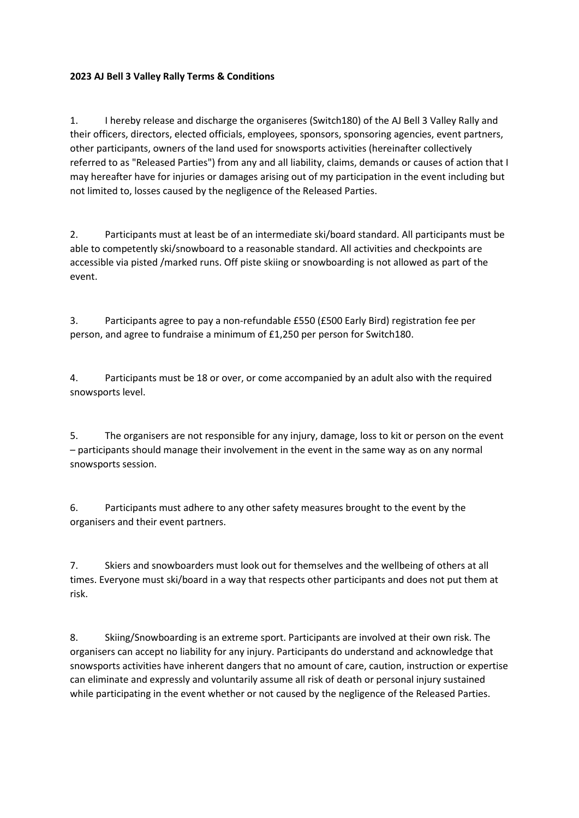## **2023 AJ Bell 3 Valley Rally Terms & Conditions**

1. I hereby release and discharge the organiseres (Switch180) of the AJ Bell 3 Valley Rally and their officers, directors, elected officials, employees, sponsors, sponsoring agencies, event partners, other participants, owners of the land used for snowsports activities (hereinafter collectively referred to as "Released Parties") from any and all liability, claims, demands or causes of action that I may hereafter have for injuries or damages arising out of my participation in the event including but not limited to, losses caused by the negligence of the Released Parties.

2. Participants must at least be of an intermediate ski/board standard. All participants must be able to competently ski/snowboard to a reasonable standard. All activities and checkpoints are accessible via pisted /marked runs. Off piste skiing or snowboarding is not allowed as part of the event.

3. Participants agree to pay a non-refundable £550 (£500 Early Bird) registration fee per person, and agree to fundraise a minimum of £1,250 per person for Switch180.

4. Participants must be 18 or over, or come accompanied by an adult also with the required snowsports level.

5. The organisers are not responsible for any injury, damage, loss to kit or person on the event – participants should manage their involvement in the event in the same way as on any normal snowsports session.

6. Participants must adhere to any other safety measures brought to the event by the organisers and their event partners.

7. Skiers and snowboarders must look out for themselves and the wellbeing of others at all times. Everyone must ski/board in a way that respects other participants and does not put them at risk.

8. Skiing/Snowboarding is an extreme sport. Participants are involved at their own risk. The organisers can accept no liability for any injury. Participants do understand and acknowledge that snowsports activities have inherent dangers that no amount of care, caution, instruction or expertise can eliminate and expressly and voluntarily assume all risk of death or personal injury sustained while participating in the event whether or not caused by the negligence of the Released Parties.